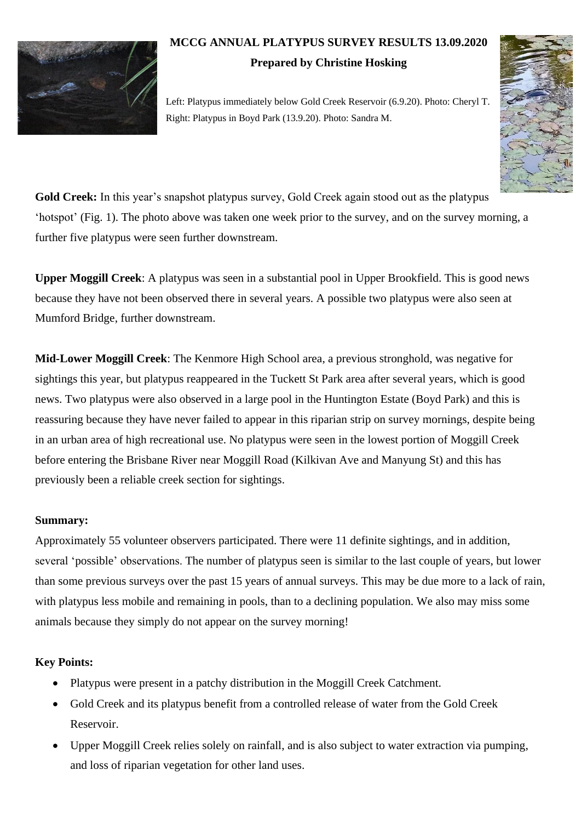

## **MCCG ANNUAL PLATYPUS SURVEY RESULTS 13.09.2020**

## **Prepared by Christine Hosking**

Left: Platypus immediately below Gold Creek Reservoir (6.9.20). Photo: Cheryl T. Right: Platypus in Boyd Park (13.9.20). Photo: Sandra M.



**Gold Creek:** In this year's snapshot platypus survey, Gold Creek again stood out as the platypus 'hotspot' (Fig. 1). The photo above was taken one week prior to the survey, and on the survey morning, a further five platypus were seen further downstream.

**Upper Moggill Creek**: A platypus was seen in a substantial pool in Upper Brookfield. This is good news because they have not been observed there in several years. A possible two platypus were also seen at Mumford Bridge, further downstream.

**Mid-Lower Moggill Creek**: The Kenmore High School area, a previous stronghold, was negative for sightings this year, but platypus reappeared in the Tuckett St Park area after several years, which is good news. Two platypus were also observed in a large pool in the Huntington Estate (Boyd Park) and this is reassuring because they have never failed to appear in this riparian strip on survey mornings, despite being in an urban area of high recreational use. No platypus were seen in the lowest portion of Moggill Creek before entering the Brisbane River near Moggill Road (Kilkivan Ave and Manyung St) and this has previously been a reliable creek section for sightings.

## **Summary:**

Approximately 55 volunteer observers participated. There were 11 definite sightings, and in addition, several 'possible' observations. The number of platypus seen is similar to the last couple of years, but lower than some previous surveys over the past 15 years of annual surveys. This may be due more to a lack of rain, with platypus less mobile and remaining in pools, than to a declining population. We also may miss some animals because they simply do not appear on the survey morning!

## **Key Points:**

- Platypus were present in a patchy distribution in the Moggill Creek Catchment.
- Gold Creek and its platypus benefit from a controlled release of water from the Gold Creek Reservoir.
- Upper Moggill Creek relies solely on rainfall, and is also subject to water extraction via pumping, and loss of riparian vegetation for other land uses.